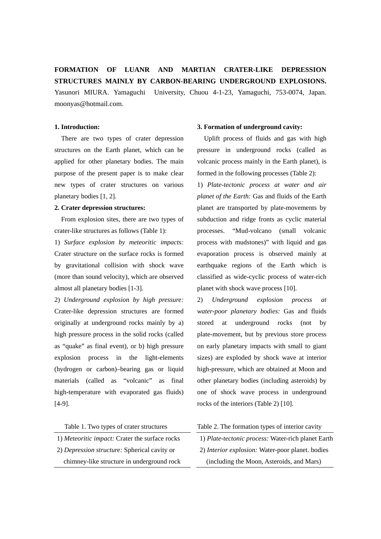# **FORMATION OF LUANR AND MARTIAN CRATER-LIKE DEPRESSION STRUCTURES MAINLY BY CARBON-BEARING UNDERGROUND EXPLOSIONS.**

Yasunori MIURA. Yamaguchi University, Chuou 4-1-23, Yamaguchi, 753-0074, Japan. moonyas@hotmail.com.

### **1. Introduction:**

 There are two types of crater depression structures on the Earth planet, which can be applied for other planetary bodies. The main purpose of the present paper is to make clear new types of crater structures on various planetary bodies [1, 2].

# **2. Crater depression structures:**

 From explosion sites, there are two types of crater-like structures as follows (Table 1):

1) *Surface explosion by meteoritic impacts:*  Crater structure on the surface rocks is formed by gravitational collision with shock wave (more than sound velocity), which are observed almost all planetary bodies [1-3].

2) *Underground explosion by high pressure:*  Crater-like depression structures are formed originally at underground rocks mainly by a) high pressure process in the solid rocks (called as "quake" as final event), or b) high pressure explosion process in the light-elements (hydrogen or carbon)–bearing gas or liquid materials (called as "volcanic" as final high-temperature with evaporated gas fluids) [4-9].

Table 1. Two types of crater structures

1) *Meteoritic impact:* Crater the surface rocks 2) *Depression structure:* Spherical cavity or chimney-like structure in underground rock

# **3. Formation of underground cavity:**

 Uplift process of fluids and gas with high pressure in underground rocks (called as volcanic process mainly in the Earth planet), is formed in the following processes (Table 2):

1) *Plate-tectonic process at water and air planet of the Earth:* Gas and fluids of the Earth planet are transported by plate-movements by subduction and ridge fronts as cyclic material processes. "Mud-volcano (small volcanic process with mudstones)" with liquid and gas evaporation process is observed mainly at earthquake regions of the Earth which is classified as wide-cyclic process of water-rich planet with shock wave process [10].

2) *Underground explosion process at water-poor planetary bodies:* Gas and fluids stored at underground rocks (not by plate-movement, but by previous store process on early planetary impacts with small to giant sizes) are exploded by shock wave at interior high-pressure, which are obtained at Moon and other planetary bodies (including asteroids) by one of shock wave process in underground rocks of the interiors (Table 2) [10].

Table 2. The formation types of interior cavity

1) *Plate-tectonic process:* Water-rich planet Earth 2) *Interior explosion:* Water-poor planet. bodies (including the Moon, Asteroids, and Mars)